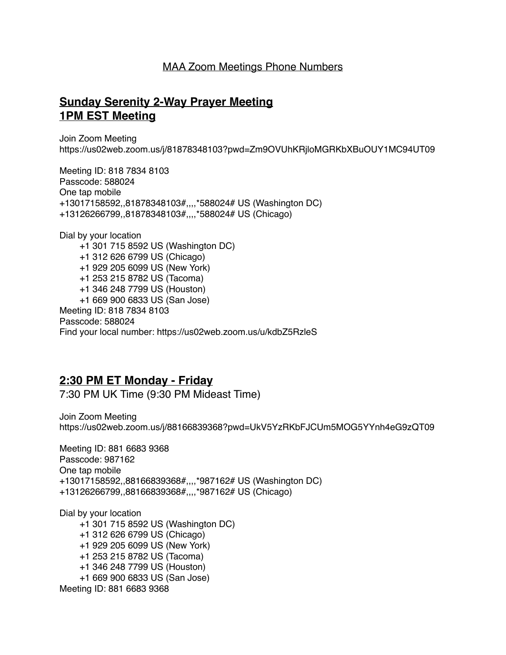## MAA Zoom Meetings Phone Numbers

## **Sunday Serenity 2-Way Prayer Meeting 1PM EST Meeting**

Join Zoom Meeting https://us02web.zoom.us/j/81878348103?pwd=Zm9OVUhKRjloMGRKbXBuOUY1MC94UT09

Meeting ID: 818 7834 8103 Passcode: 588024 One tap mobile +13017158592,,81878348103#,,,,\*588024# US (Washington DC) +13126266799,,81878348103#,,,,\*588024# US (Chicago)

Dial by your location +1 301 715 8592 US (Washington DC) +1 312 626 6799 US (Chicago) +1 929 205 6099 US (New York) +1 253 215 8782 US (Tacoma) +1 346 248 7799 US (Houston) +1 669 900 6833 US (San Jose) Meeting ID: 818 7834 8103 Passcode: 588024 Find your local number: https://us02web.zoom.us/u/kdbZ5RzleS

## **2:30 PM ET Monday - Friday**

7:30 PM UK Time (9:30 PM Mideast Time)

Join Zoom Meeting https://us02web.zoom.us/j/88166839368?pwd=UkV5YzRKbFJCUm5MOG5YYnh4eG9zQT09

Meeting ID: 881 6683 9368 Passcode: 987162 One tap mobile +13017158592,,88166839368#,,,,\*987162# US (Washington DC) +13126266799,,88166839368#,,,,\*987162# US (Chicago)

Dial by your location +1 301 715 8592 US (Washington DC) +1 312 626 6799 US (Chicago) +1 929 205 6099 US (New York) +1 253 215 8782 US (Tacoma) +1 346 248 7799 US (Houston) +1 669 900 6833 US (San Jose) Meeting ID: 881 6683 9368